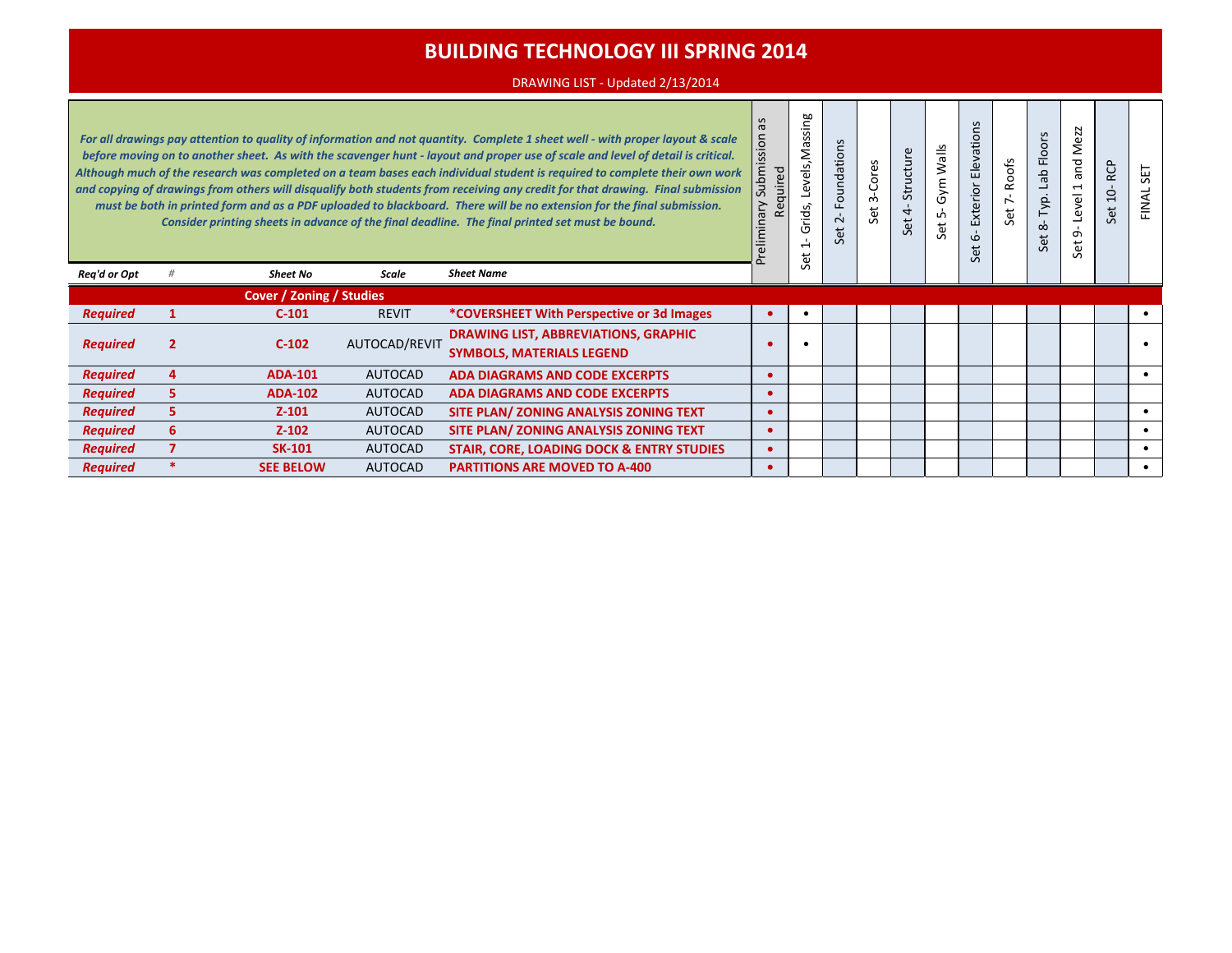### DRAWING LIST - Updated 2/13/2014

| $\sigma$<br>$\overline{5}$<br>For all drawings pay attention to quality of information and not quantity. Complete 1 sheet well - with proper layout & scale<br>śä<br>before moving on to another sheet. As with the scavenger hunt - layout and proper use of scale and level of detail is critical.<br>Submi<br>Although much of the research was completed on a team bases each individual student is required to complete their own work<br>and copying of drawings from others will disqualify both students from receiving any credit for that drawing. Final submission<br>χι<br>must be both in printed form and as a PDF uploaded to blackboard. There will be no extension for the final submission.<br>Consider printing sheets in advance of the final deadline. The final printed set must be bound.<br>$\subset$ |   |                                 |                |                                                                                 |  | Levels, Massing<br>Grids,<br>$\overline{\phantom{0}}$<br>Set | S<br>ation:<br>Founda<br>$\sim$<br>ť | Cores<br>$\sim$<br>Set | Structure<br>4<br>Set | Walls<br>Gym<br>LO.<br>Set | $\mathbf{v}$<br>evations<br>靣<br>Exterior<br>$\omega$<br>Set | <b>Roofs</b><br>Set 7- | Lab Floors<br>Typ.<br>$\infty$<br>Set | N<br>6Z.<br>Ž<br>and<br>$\mathbf{\mathbf{\mathsf{H}}}$<br>Level<br>თ<br>Set | <b>RCP</b><br>ġ<br>Set | <b>LES</b><br>FINAL |
|-------------------------------------------------------------------------------------------------------------------------------------------------------------------------------------------------------------------------------------------------------------------------------------------------------------------------------------------------------------------------------------------------------------------------------------------------------------------------------------------------------------------------------------------------------------------------------------------------------------------------------------------------------------------------------------------------------------------------------------------------------------------------------------------------------------------------------|---|---------------------------------|----------------|---------------------------------------------------------------------------------|--|--------------------------------------------------------------|--------------------------------------|------------------------|-----------------------|----------------------------|--------------------------------------------------------------|------------------------|---------------------------------------|-----------------------------------------------------------------------------|------------------------|---------------------|
| Req'd or Opt                                                                                                                                                                                                                                                                                                                                                                                                                                                                                                                                                                                                                                                                                                                                                                                                                  |   | <b>Sheet No</b>                 | Scale          | <b>Sheet Name</b>                                                               |  |                                                              |                                      |                        |                       |                            |                                                              |                        |                                       |                                                                             |                        |                     |
|                                                                                                                                                                                                                                                                                                                                                                                                                                                                                                                                                                                                                                                                                                                                                                                                                               |   | <b>Cover / Zoning / Studies</b> |                |                                                                                 |  |                                                              |                                      |                        |                       |                            |                                                              |                        |                                       |                                                                             |                        |                     |
| <b>Required</b>                                                                                                                                                                                                                                                                                                                                                                                                                                                                                                                                                                                                                                                                                                                                                                                                               |   | $C-101$                         | <b>REVIT</b>   | <i>*COVERSHEET With Perspective or 3d Images</i>                                |  |                                                              |                                      |                        |                       |                            |                                                              |                        |                                       |                                                                             |                        |                     |
| <b>Required</b>                                                                                                                                                                                                                                                                                                                                                                                                                                                                                                                                                                                                                                                                                                                                                                                                               |   | $C-102$                         | AUTOCAD/REVIT  | <b>DRAWING LIST, ABBREVIATIONS, GRAPHIC</b><br><b>SYMBOLS, MATERIALS LEGEND</b> |  |                                                              |                                      |                        |                       |                            |                                                              |                        |                                       |                                                                             |                        |                     |
| <b>Required</b>                                                                                                                                                                                                                                                                                                                                                                                                                                                                                                                                                                                                                                                                                                                                                                                                               | 4 | <b>ADA-101</b>                  | <b>AUTOCAD</b> | <b>ADA DIAGRAMS AND CODE EXCERPTS</b>                                           |  |                                                              |                                      |                        |                       |                            |                                                              |                        |                                       |                                                                             |                        |                     |
| <b>Required</b>                                                                                                                                                                                                                                                                                                                                                                                                                                                                                                                                                                                                                                                                                                                                                                                                               | 5 | <b>ADA-102</b>                  | <b>AUTOCAD</b> | <b>ADA DIAGRAMS AND CODE EXCERPTS</b>                                           |  |                                                              |                                      |                        |                       |                            |                                                              |                        |                                       |                                                                             |                        |                     |
| <b>Required</b>                                                                                                                                                                                                                                                                                                                                                                                                                                                                                                                                                                                                                                                                                                                                                                                                               | 5 | $Z - 101$                       | <b>AUTOCAD</b> | SITE PLAN/ ZONING ANALYSIS ZONING TEXT                                          |  |                                                              |                                      |                        |                       |                            |                                                              |                        |                                       |                                                                             |                        |                     |
| <b>Required</b>                                                                                                                                                                                                                                                                                                                                                                                                                                                                                                                                                                                                                                                                                                                                                                                                               | 6 | $Z - 102$                       | <b>AUTOCAD</b> | SITE PLAN/ ZONING ANALYSIS ZONING TEXT                                          |  |                                                              |                                      |                        |                       |                            |                                                              |                        |                                       |                                                                             |                        |                     |
| <b>Required</b>                                                                                                                                                                                                                                                                                                                                                                                                                                                                                                                                                                                                                                                                                                                                                                                                               |   | <b>SK-101</b>                   | <b>AUTOCAD</b> | STAIR, CORE, LOADING DOCK & ENTRY STUDIES                                       |  |                                                              |                                      |                        |                       |                            |                                                              |                        |                                       |                                                                             |                        |                     |
| <b>Required</b>                                                                                                                                                                                                                                                                                                                                                                                                                                                                                                                                                                                                                                                                                                                                                                                                               |   | <b>SEE BELOW</b>                | <b>AUTOCAD</b> | <b>PARTITIONS ARE MOVED TO A-400</b>                                            |  |                                                              |                                      |                        |                       |                            |                                                              |                        |                                       |                                                                             |                        |                     |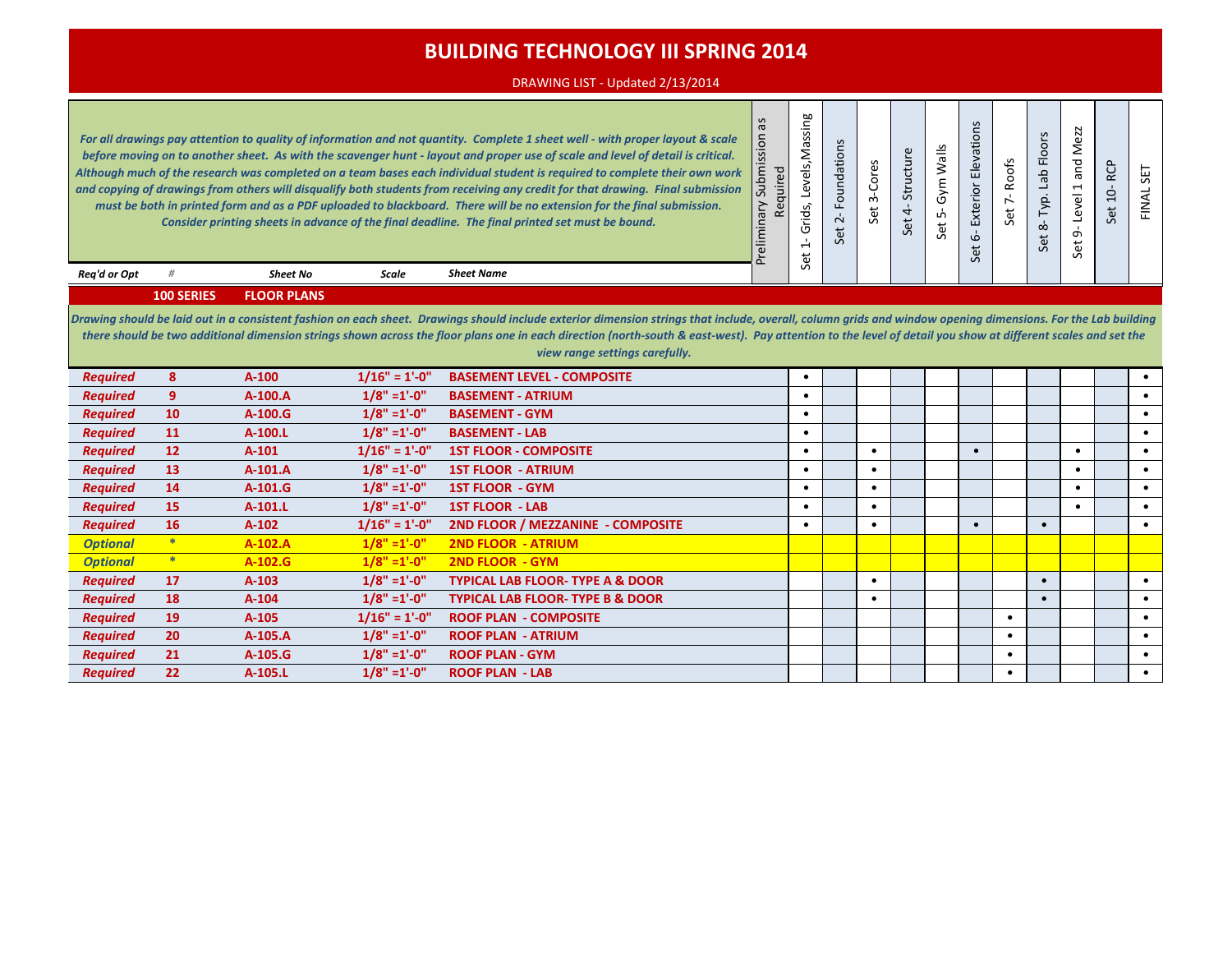### DRAWING LIST - Updated 2/13/2014

|                 |                   |                    |                 | For all drawings pay attention to quality of information and not quantity. Complete 1 sheet well - with proper layout & scale<br>before moving on to another sheet. As with the scavenger hunt - layout and proper use of scale and level of detail is critical.<br>Although much of the research was completed on a team bases each individual student is required to complete their own work<br>and copying of drawings from others will disqualify both students from receiving any credit for that drawing. Final submission<br>must be both in printed form and as a PDF uploaded to blackboard. There will be no extension for the final submission.<br>Consider printing sheets in advance of the final deadline. The final printed set must be bound. | $\tilde{\sigma}$<br>nois<br>û<br>Submis<br>Required<br>Preliminary | Levels, Massing<br>Grids,<br>$\mathbf{I}$<br>$\overline{ }$<br>Set | Foundations<br>$\overline{c}$<br>Set | 3-Cores<br>Set | Structure<br>$\overline{4}$<br>Set | Gym Walls<br>ம்<br>Set | Elevations<br>Exterior<br>$\mathbf{b}$<br>$\overleftrightarrow{\mathbf{e}}$<br>Ŏ. | Set 7-Roofs | 8- Typ. Lab Floors<br>Set | Mezz<br>and<br>$\overline{\phantom{0}}$<br>Level<br>ക്<br>Set | RCP<br>$10-$<br>Set | <b>SET</b><br>FINAL: |
|-----------------|-------------------|--------------------|-----------------|---------------------------------------------------------------------------------------------------------------------------------------------------------------------------------------------------------------------------------------------------------------------------------------------------------------------------------------------------------------------------------------------------------------------------------------------------------------------------------------------------------------------------------------------------------------------------------------------------------------------------------------------------------------------------------------------------------------------------------------------------------------|--------------------------------------------------------------------|--------------------------------------------------------------------|--------------------------------------|----------------|------------------------------------|------------------------|-----------------------------------------------------------------------------------|-------------|---------------------------|---------------------------------------------------------------|---------------------|----------------------|
| Rea'd or Opt    | #                 | <b>Sheet No</b>    | Scale           | <b>Sheet Name</b>                                                                                                                                                                                                                                                                                                                                                                                                                                                                                                                                                                                                                                                                                                                                             |                                                                    |                                                                    |                                      |                |                                    |                        |                                                                                   |             |                           |                                                               |                     |                      |
|                 | <b>100 SERIES</b> | <b>FLOOR PLANS</b> |                 |                                                                                                                                                                                                                                                                                                                                                                                                                                                                                                                                                                                                                                                                                                                                                               |                                                                    |                                                                    |                                      |                |                                    |                        |                                                                                   |             |                           |                                                               |                     |                      |
|                 |                   |                    |                 | Drawing should be laid out in a consistent fashion on each sheet. Drawings should include exterior dimension strings that include, overall, column grids and window opening dimensions. For the Lab building<br>there should be two additional dimension strings shown across the floor plans one in each direction (north-south & east-west). Pay attention to the level of detail you show at different scales and set the<br>view range settings carefully.                                                                                                                                                                                                                                                                                                |                                                                    |                                                                    |                                      |                |                                    |                        |                                                                                   |             |                           |                                                               |                     |                      |
| <b>Required</b> | 8                 | $A-100$            | $1/16" = 1'-0"$ | <b>BASEMENT LEVEL - COMPOSITE</b>                                                                                                                                                                                                                                                                                                                                                                                                                                                                                                                                                                                                                                                                                                                             |                                                                    | $\bullet$                                                          |                                      |                |                                    |                        |                                                                                   |             |                           |                                                               |                     |                      |
| <b>Required</b> | 9                 | A-100.A            | $1/8" = 1'-0"$  | <b>BASEMENT - ATRIUM</b>                                                                                                                                                                                                                                                                                                                                                                                                                                                                                                                                                                                                                                                                                                                                      |                                                                    | $\bullet$                                                          |                                      |                |                                    |                        |                                                                                   |             |                           |                                                               |                     | $\bullet$            |
| <b>Required</b> | 10                | $A-100.G$          | $1/8" = 1'-0"$  | <b>BASEMENT - GYM</b>                                                                                                                                                                                                                                                                                                                                                                                                                                                                                                                                                                                                                                                                                                                                         |                                                                    | $\bullet$                                                          |                                      |                |                                    |                        |                                                                                   |             |                           |                                                               |                     | $\bullet$            |
| <b>Required</b> | 11                | A-100.L            | $1/8" = 1'-0"$  | <b>BASEMENT - LAB</b>                                                                                                                                                                                                                                                                                                                                                                                                                                                                                                                                                                                                                                                                                                                                         |                                                                    | $\bullet$                                                          |                                      |                |                                    |                        |                                                                                   |             |                           |                                                               |                     | $\bullet$            |
| <b>Required</b> | 12                | $A-101$            | $1/16" = 1'-0"$ | <b>1ST FLOOR - COMPOSITE</b>                                                                                                                                                                                                                                                                                                                                                                                                                                                                                                                                                                                                                                                                                                                                  |                                                                    | $\bullet$                                                          |                                      | $\bullet$      |                                    |                        |                                                                                   |             |                           | $\bullet$                                                     |                     | $\bullet$            |
| <b>Required</b> | 13                | A-101.A            | $1/8" = 1'-0"$  | <b>1ST FLOOR - ATRIUM</b>                                                                                                                                                                                                                                                                                                                                                                                                                                                                                                                                                                                                                                                                                                                                     |                                                                    | $\bullet$                                                          |                                      | $\bullet$      |                                    |                        |                                                                                   |             |                           | $\bullet$                                                     |                     | $\bullet$            |
| <b>Required</b> | 14                | $A-101.G$          | $1/8" = 1'-0"$  | <b>1ST FLOOR - GYM</b>                                                                                                                                                                                                                                                                                                                                                                                                                                                                                                                                                                                                                                                                                                                                        |                                                                    | $\bullet$                                                          |                                      | $\bullet$      |                                    |                        |                                                                                   |             |                           | $\bullet$                                                     |                     | $\bullet$            |
| <b>Required</b> | 15                | A-101.L            | $1/8" = 1'-0"$  | <b>1ST FLOOR - LAB</b>                                                                                                                                                                                                                                                                                                                                                                                                                                                                                                                                                                                                                                                                                                                                        |                                                                    | $\bullet$                                                          |                                      | $\bullet$      |                                    |                        |                                                                                   |             |                           | $\bullet$                                                     |                     | $\bullet$            |
| <b>Required</b> | <b>16</b>         | $A-102$            | $1/16" = 1'-0"$ | 2ND FLOOR / MEZZANINE - COMPOSITE                                                                                                                                                                                                                                                                                                                                                                                                                                                                                                                                                                                                                                                                                                                             |                                                                    | $\bullet$                                                          |                                      | $\bullet$      |                                    |                        |                                                                                   |             | $\bullet$                 |                                                               |                     | $\bullet$            |
| <b>Optional</b> | $\ast$            | $A-102.A$          | $1/8" = 1'-0"$  | <b>2ND FLOOR - ATRIUM</b>                                                                                                                                                                                                                                                                                                                                                                                                                                                                                                                                                                                                                                                                                                                                     |                                                                    |                                                                    |                                      |                |                                    |                        |                                                                                   |             |                           |                                                               |                     |                      |
| <b>Optional</b> | $*$               | A-102.G            | $1/8" = 1'-0"$  | <b>2ND FLOOR - GYM</b>                                                                                                                                                                                                                                                                                                                                                                                                                                                                                                                                                                                                                                                                                                                                        |                                                                    |                                                                    |                                      |                |                                    |                        |                                                                                   |             |                           |                                                               |                     |                      |
| <b>Required</b> | 17                | $A-103$            | $1/8" = 1'-0"$  | <b>TYPICAL LAB FLOOR-TYPE A &amp; DOOR</b>                                                                                                                                                                                                                                                                                                                                                                                                                                                                                                                                                                                                                                                                                                                    |                                                                    |                                                                    |                                      | $\bullet$      |                                    |                        |                                                                                   |             | $\bullet$                 |                                                               |                     | $\bullet$            |
| <b>Required</b> | 18                | $A - 104$          | $1/8" = 1'-0"$  | <b>TYPICAL LAB FLOOR-TYPE B &amp; DOOR</b>                                                                                                                                                                                                                                                                                                                                                                                                                                                                                                                                                                                                                                                                                                                    |                                                                    |                                                                    |                                      | $\bullet$      |                                    |                        |                                                                                   |             | $\bullet$                 |                                                               |                     | $\bullet$            |
| <b>Required</b> | 19                | A-105              | $1/16" = 1'-0"$ | <b>ROOF PLAN - COMPOSITE</b>                                                                                                                                                                                                                                                                                                                                                                                                                                                                                                                                                                                                                                                                                                                                  |                                                                    |                                                                    |                                      |                |                                    |                        |                                                                                   | $\bullet$   |                           |                                                               |                     | $\bullet$            |
| <b>Required</b> | 20                | A-105.A            | $1/8" = 1'-0"$  | <b>ROOF PLAN - ATRIUM</b>                                                                                                                                                                                                                                                                                                                                                                                                                                                                                                                                                                                                                                                                                                                                     |                                                                    |                                                                    |                                      |                |                                    |                        |                                                                                   | $\bullet$   |                           |                                                               |                     | $\bullet$            |
| <b>Required</b> | 21                | $A-105.G$          | $1/8" = 1'-0"$  | <b>ROOF PLAN - GYM</b>                                                                                                                                                                                                                                                                                                                                                                                                                                                                                                                                                                                                                                                                                                                                        |                                                                    |                                                                    |                                      |                |                                    |                        |                                                                                   | $\bullet$   |                           |                                                               |                     | $\bullet$            |
| <b>Reauired</b> | 22                | A-105.L            | $1/8" = 1'-0"$  | <b>ROOF PLAN - LAB</b>                                                                                                                                                                                                                                                                                                                                                                                                                                                                                                                                                                                                                                                                                                                                        |                                                                    |                                                                    |                                      |                |                                    |                        |                                                                                   | $\bullet$   |                           |                                                               |                     | $\bullet$            |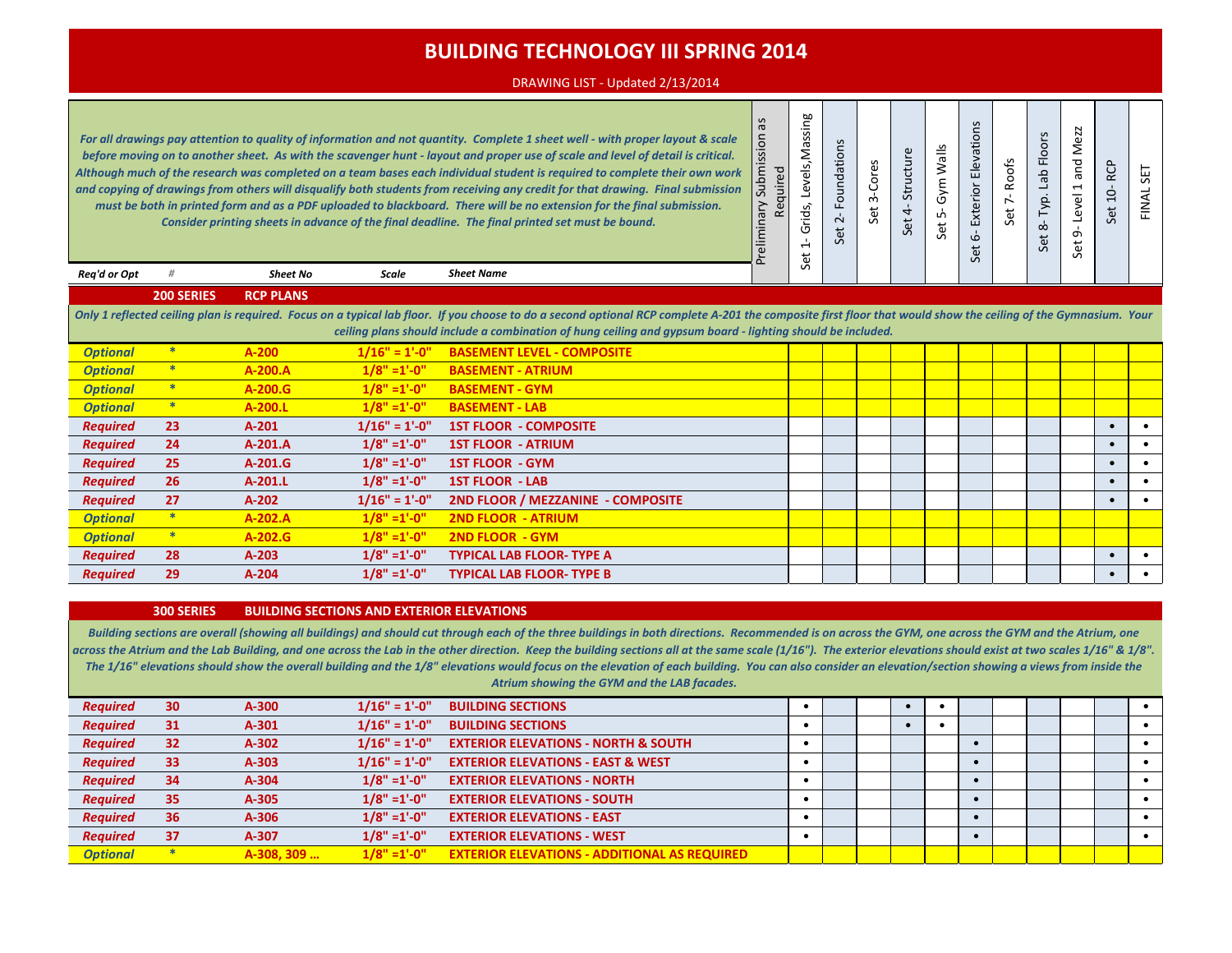#### DRAWING LIST - Updated 2/13/2014

*For all drawings pay attention to quality of information and not quantity. Complete 1 sheet well - with proper layout & scale before moving on to another sheet. As with the scavenger hunt - layout and proper use of scale and level of detail is critical. Although much of the research was completed on a team bases each individual student is required to complete their own work and copying of drawings from others will disqualify both students from receiving any credit for that drawing. Final submission must be both in printed form and as a PDF uploaded to blackboard. There will be no extension for the final submission. Consider printing sheets in advance of the final deadline. The final printed set must be bound.* 

*Sheet Name*

| Preliminary Submission as<br>Required |
|---------------------------------------|
| Set 1- Grids, Levels, Massing         |
| Set 2-Foundations                     |
| Set 3-Cores                           |
| Set 4-Structure                       |
| Set 5- Gym Walls                      |
| Set 6- Exterior Elevations            |
| Set 7-Roofs                           |
| Set 8-Typ. Lab Floors                 |
| Set 9-Level 1 and Mezz                |
| Set 10-RCP                            |
| FINAL SET                             |

*Req'd or Opt # Sheet No Scale*

**200 SERIES RCP PLANS**

*Only 1 reflected ceiling plan is required. Focus on a typical lab floor. If you choose to do a second optional RCP complete A-201 the composite first floor that would show the ceiling of the Gymnasium. Your ceiling plans should include a combination of hung ceiling and gypsum board - lighting should be included.*

| <b>Optional</b> |     | $A-200$   | $1/16" = 1'-0"$ | <b>BASEMENT LEVEL - COMPOSITE</b> |  |  |  |  |           |  |
|-----------------|-----|-----------|-----------------|-----------------------------------|--|--|--|--|-----------|--|
| <b>Optional</b> |     | $A-200.A$ | $1/8" = 1'-0"$  | <b>BASEMENT - ATRIUM</b>          |  |  |  |  |           |  |
| <b>Optional</b> | $*$ | $A-200.G$ | $1/8" = 1'-0"$  | <b>BASEMENT - GYM</b>             |  |  |  |  |           |  |
| <b>Optional</b> |     | $A-200.L$ | $1/8" = 1'-0"$  | <b>BASEMENT - LAB</b>             |  |  |  |  |           |  |
| <b>Required</b> | 23  | $A-201$   | $1/16" = 1'-0"$ | <b>1ST FLOOR - COMPOSITE</b>      |  |  |  |  |           |  |
| <b>Required</b> | 24  | $A-201.A$ | $1/8" = 1'-0"$  | <b>1ST FLOOR - ATRIUM</b>         |  |  |  |  |           |  |
| <b>Required</b> | 25  | $A-201.G$ | $1/8" = 1'-0"$  | <b>1ST FLOOR - GYM</b>            |  |  |  |  |           |  |
| <b>Required</b> | 26  | $A-201.L$ | $1/8" = 1'-0"$  | <b>1ST FLOOR - LAB</b>            |  |  |  |  | $\bullet$ |  |
| <b>Required</b> | 27  | $A-202$   | $1/16" = 1'-0"$ | 2ND FLOOR / MEZZANINE - COMPOSITE |  |  |  |  |           |  |
| <b>Optional</b> |     | $A-202.A$ | $1/8" = 1'-0"$  | <b>2ND FLOOR - ATRIUM</b>         |  |  |  |  |           |  |
| <b>Optional</b> |     | $A-202.G$ | $1/8" = 1'-0"$  | <b>2ND FLOOR - GYM</b>            |  |  |  |  |           |  |
| <b>Required</b> | 28  | $A-203$   | $1/8" = 1'-0"$  | <b>TYPICAL LAB FLOOR-TYPE A</b>   |  |  |  |  |           |  |
| <b>Required</b> | 29  | $A-204$   | $1/8" = 1'-0"$  | <b>TYPICAL LAB FLOOR-TYPE B</b>   |  |  |  |  |           |  |

#### **300 SERIES BUILDING SECTIONS AND EXTERIOR ELEVATIONS**

*Building sections are overall (showing all buildings) and should cut through each of the three buildings in both directions. Recommended is on across the GYM, one across the GYM and the Atrium, one*  across the Atrium and the Lab Building, and one across the Lab in the other direction. Keep the building sections all at the same scale (1/16"). The exterior elevations should exist at two scales 1/16" & 1/8". *The 1/16" elevations should show the overall building and the 1/8" elevations would focus on the elevation of each building. You can also consider an elevation/section showing a views from inside the Atrium showing the GYM and the LAB facades.*

| <b>Required</b> | 30 | A-300      | $1/16" = 1'-0"$ | <b>BUILDING SECTIONS</b>                            |  |  |  |  |  |  |
|-----------------|----|------------|-----------------|-----------------------------------------------------|--|--|--|--|--|--|
| <b>Required</b> | 31 | $A-301$    | $1/16" = 1'-0"$ | <b>BUILDING SECTIONS</b>                            |  |  |  |  |  |  |
| <b>Required</b> | 32 | $A-302$    | $1/16" = 1'-0"$ | <b>EXTERIOR ELEVATIONS - NORTH &amp; SOUTH</b>      |  |  |  |  |  |  |
| <b>Required</b> | 33 | $A-303$    | $1/16" = 1'-0"$ | <b>EXTERIOR ELEVATIONS - EAST &amp; WEST</b>        |  |  |  |  |  |  |
| <b>Required</b> | 34 | $A-304$    | $1/8" = 1'-0"$  | <b>EXTERIOR ELEVATIONS - NORTH</b>                  |  |  |  |  |  |  |
| <b>Required</b> | 35 | A-305      | $1/8" = 1'-0"$  | <b>EXTERIOR ELEVATIONS - SOUTH</b>                  |  |  |  |  |  |  |
| <b>Required</b> | 36 | A-306      | $1/8" = 1'-0"$  | <b>EXTERIOR ELEVATIONS - EAST</b>                   |  |  |  |  |  |  |
| <b>Required</b> | 37 | A-307      | $1/8" = 1'-0"$  | <b>EXTERIOR ELEVATIONS - WEST</b>                   |  |  |  |  |  |  |
| <b>Optional</b> |    | A-308, 309 | $1/8" = 1'-0"$  | <b>EXTERIOR ELEVATIONS - ADDITIONAL AS REQUIRED</b> |  |  |  |  |  |  |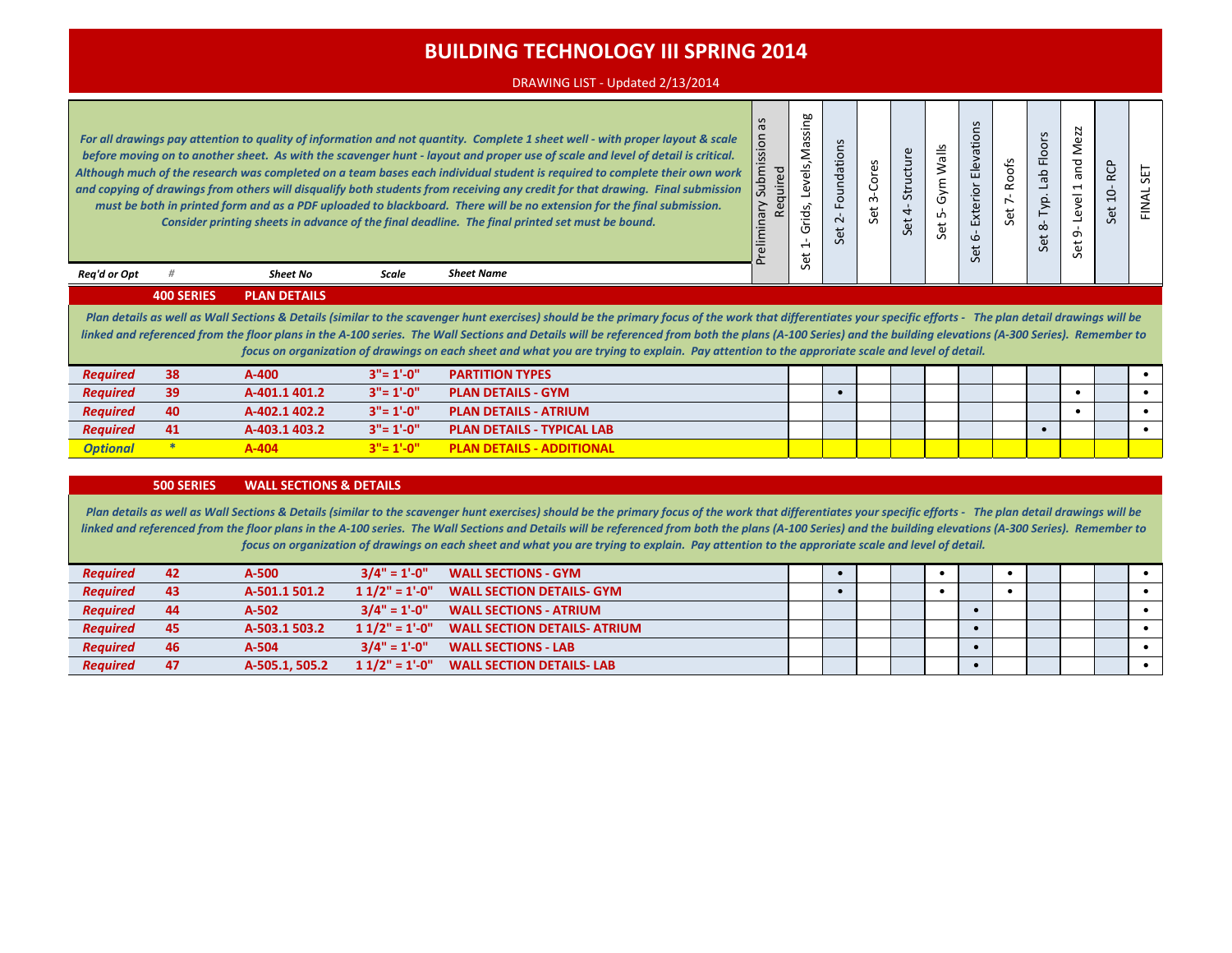#### DRAWING LIST - Updated 2/13/2014

*For all drawings pay attention to quality of information and not quantity. Complete 1 sheet well - with proper layout & scale before moving on to another sheet. As with the scavenger hunt - layout and proper use of scale and level of detail is critical. Although much of the research was completed on a team bases each individual student is required to complete their own work and copying of drawings from others will disqualify both students from receiving any credit for that drawing. Final submission must be both in printed form and as a PDF uploaded to blackboard. There will be no extension for the final submission. Consider printing sheets in advance of the final deadline. The final printed set must be bound.* 

*Sheet Name*

| Preliminary Submission as<br>Required |
|---------------------------------------|
| Set 1-Grids, Levels, Massing          |
| Set 2-Foundations                     |
| Set 3-Cores                           |
| Set 4- Structure                      |
| Set 5- Gym Walls                      |
| Set 6- Exterior Elevations            |
| Set 7-Roofs                           |
| Set 8- Typ. Lab Floors                |
| Set 9-Level 1 and Mezz                |
| Set 10-RCP                            |
| FINAL SET                             |

**400 SERIES PLAN DETAILS**

*Req'd or Opt # Sheet No Scale*

*Plan details as well as Wall Sections & Details (similar to the scavenger hunt exercises) should be the primary focus of the work that differentiates your specific efforts - The plan detail drawings will be linked and referenced from the floor plans in the A-100 series. The Wall Sections and Details will be referenced from both the plans (A-100 Series) and the building elevations (A-300 Series). Remember to focus on organization of drawings on each sheet and what you are trying to explain. Pay attention to the approriate scale and level of detail.*

| <b>Required</b> | 38 | A-400         | $3" = 1'-0"$ | <b>PARTITION TYPES</b>            |  |  |  |  |  |  |
|-----------------|----|---------------|--------------|-----------------------------------|--|--|--|--|--|--|
| <b>Required</b> | 39 | A-401.1 401.2 | $3" = 1'-0"$ | <b>PLAN DETAILS - GYM</b>         |  |  |  |  |  |  |
| <b>Required</b> | 40 | A-402.1 402.2 | $3" = 1'-0"$ | <b>PLAN DETAILS - ATRIUM</b>      |  |  |  |  |  |  |
| <b>Required</b> | 41 | A-403.1 403.2 | $3" = 1'.0"$ | <b>PLAN DETAILS - TYPICAL LAB</b> |  |  |  |  |  |  |
| <b>Optional</b> |    | 4-404         | $3" = 1'-0"$ | <b>PLAN DETAILS - ADDITIONAL</b>  |  |  |  |  |  |  |

#### **500 SERIES WALL SECTIONS & DETAILS**

Plan details as well as Wall Sections & Details (similar to the scavenger hunt exercises) should be the primary focus of the work that differentiates your specific efforts - The plan detail drawings will be *linked and referenced from the floor plans in the A-100 series. The Wall Sections and Details will be referenced from both the plans (A-100 Series) and the building elevations (A-300 Series). Remember to focus on organization of drawings on each sheet and what you are trying to explain. Pay attention to the approriate scale and level of detail.*

| <b>Reauired</b> | 42 | A-500          | $3/4" = 1'-0"$  | <b>WALL SECTIONS - GYM</b>          |  |  |  |  |  |  |
|-----------------|----|----------------|-----------------|-------------------------------------|--|--|--|--|--|--|
| <b>Required</b> | 43 | A-501.1 501.2  | $11/2" = 1'-0"$ | <b>WALL SECTION DETAILS- GYM</b>    |  |  |  |  |  |  |
| <b>Required</b> | 44 | A-502          | $3/4" = 1'-0"$  | <b>WALL SECTIONS - ATRIUM</b>       |  |  |  |  |  |  |
| <b>Reauired</b> | 45 | A-503.1 503.2  | $11/2" = 1'-0"$ | <b>WALL SECTION DETAILS- ATRIUM</b> |  |  |  |  |  |  |
| <b>Reauired</b> | 46 | A-504          | $3/4" = 1'-0"$  | <b>WALL SECTIONS - LAB</b>          |  |  |  |  |  |  |
| <b>Reauired</b> | 47 | A-505.1, 505.2 | $11/2" = 1'-0"$ | <b>WALL SECTION DETAILS- LAB</b>    |  |  |  |  |  |  |